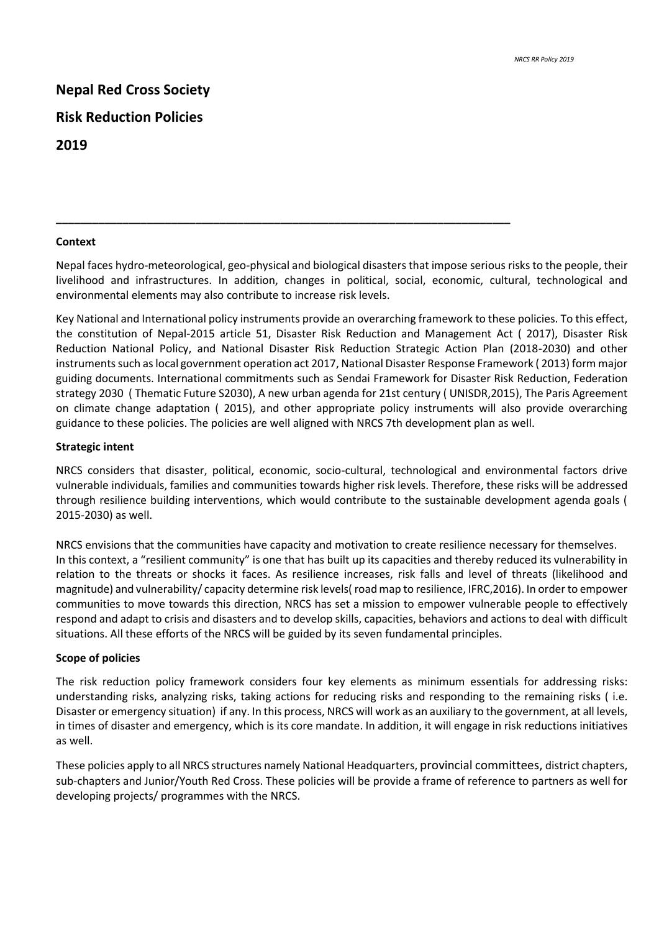# **Nepal Red Cross Society Risk Reduction Policies 2019**

#### **Context**

Nepal faces hydro-meteorological, geo-physical and biological disasters that impose serious risks to the people, their livelihood and infrastructures. In addition, changes in political, social, economic, cultural, technological and environmental elements may also contribute to increase risk levels.

**\_\_\_\_\_\_\_\_\_\_\_\_\_\_\_\_\_\_\_\_\_\_\_\_\_\_\_\_\_\_\_\_\_\_\_\_\_\_\_\_\_\_\_\_\_\_\_\_\_\_\_\_\_\_\_\_\_\_\_\_\_\_\_\_\_\_\_\_\_\_\_\_\_\_\_**

Key National and International policy instruments provide an overarching framework to these policies. To this effect, the constitution of Nepal-2015 article 51, Disaster Risk Reduction and Management Act ( 2017), Disaster Risk Reduction National Policy, and National Disaster Risk Reduction Strategic Action Plan (2018-2030) and other instruments such as local government operation act 2017, National Disaster Response Framework ( 2013) form major guiding documents. International commitments such as Sendai Framework for Disaster Risk Reduction, Federation strategy 2030 ( Thematic Future S2030), A new urban agenda for 21st century ( UNISDR,2015), The Paris Agreement on climate change adaptation ( 2015), and other appropriate policy instruments will also provide overarching guidance to these policies. The policies are well aligned with NRCS 7th development plan as well.

### **Strategic intent**

NRCS considers that disaster, political, economic, socio-cultural, technological and environmental factors drive vulnerable individuals, families and communities towards higher risk levels. Therefore, these risks will be addressed through resilience building interventions, which would contribute to the sustainable development agenda goals ( 2015-2030) as well.

NRCS envisions that the communities have capacity and motivation to create resilience necessary for themselves. In this context, a "resilient community" is one that has built up its capacities and thereby reduced its vulnerability in relation to the threats or shocks it faces. As resilience increases, risk falls and level of threats (likelihood and magnitude) and vulnerability/ capacity determine risk levels( road map to resilience, IFRC,2016). In order to empower communities to move towards this direction, NRCS has set a mission to empower vulnerable people to effectively respond and adapt to crisis and disasters and to develop skills, capacities, behaviors and actions to deal with difficult situations. All these efforts of the NRCS will be guided by its seven fundamental principles.

### **Scope of policies**

The risk reduction policy framework considers four key elements as minimum essentials for addressing risks: understanding risks, analyzing risks, taking actions for reducing risks and responding to the remaining risks ( i.e. Disaster or emergency situation) if any. In this process, NRCS will work as an auxiliary to the government, at all levels, in times of disaster and emergency, which is its core mandate. In addition, it will engage in risk reductions initiatives as well.

These policies apply to all NRCS structures namely National Headquarters, provincial committees, district chapters, sub-chapters and Junior/Youth Red Cross. These policies will be provide a frame of reference to partners as well for developing projects/ programmes with the NRCS.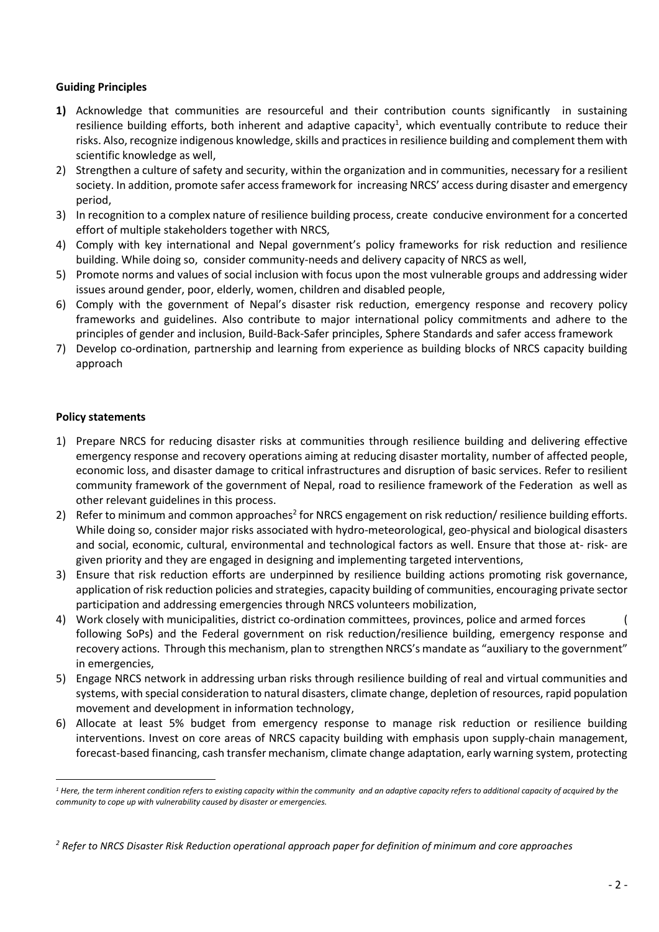# **Guiding Principles**

- **1)** Acknowledge that communities are resourceful and their contribution counts significantly in sustaining resilience building efforts, both inherent and adaptive capacity<sup>1</sup>, which eventually contribute to reduce their risks. Also, recognize indigenous knowledge, skills and practices in resilience building and complement them with scientific knowledge as well,
- 2) Strengthen a culture of safety and security, within the organization and in communities, necessary for a resilient society. In addition, promote safer access framework for increasing NRCS' access during disaster and emergency period,
- 3) In recognition to a complex nature of resilience building process, create conducive environment for a concerted effort of multiple stakeholders together with NRCS,
- 4) Comply with key international and Nepal government's policy frameworks for risk reduction and resilience building. While doing so, consider community-needs and delivery capacity of NRCS as well,
- 5) Promote norms and values of social inclusion with focus upon the most vulnerable groups and addressing wider issues around gender, poor, elderly, women, children and disabled people,
- 6) Comply with the government of Nepal's disaster risk reduction, emergency response and recovery policy frameworks and guidelines. Also contribute to major international policy commitments and adhere to the principles of gender and inclusion, Build-Back-Safer principles, Sphere Standards and safer access framework
- 7) Develop co-ordination, partnership and learning from experience as building blocks of NRCS capacity building approach

# **Policy statements**

- 1) Prepare NRCS for reducing disaster risks at communities through resilience building and delivering effective emergency response and recovery operations aiming at reducing disaster mortality, number of affected people, economic loss, and disaster damage to critical infrastructures and disruption of basic services. Refer to resilient community framework of the government of Nepal, road to resilience framework of the Federation as well as other relevant guidelines in this process.
- 2) Refer to minimum and common approaches<sup>2</sup> for NRCS engagement on risk reduction/ resilience building efforts. While doing so, consider major risks associated with hydro-meteorological, geo-physical and biological disasters and social, economic, cultural, environmental and technological factors as well. Ensure that those at- risk- are given priority and they are engaged in designing and implementing targeted interventions,
- 3) Ensure that risk reduction efforts are underpinned by resilience building actions promoting risk governance, application of risk reduction policies and strategies, capacity building of communities, encouraging private sector participation and addressing emergencies through NRCS volunteers mobilization,
- 4) Work closely with municipalities, district co-ordination committees, provinces, police and armed forces ( following SoPs) and the Federal government on risk reduction/resilience building, emergency response and recovery actions. Through this mechanism, plan to strengthen NRCS's mandate as "auxiliary to the government" in emergencies,
- 5) Engage NRCS network in addressing urban risks through resilience building of real and virtual communities and systems, with special consideration to natural disasters, climate change, depletion of resources, rapid population movement and development in information technology,
- 6) Allocate at least 5% budget from emergency response to manage risk reduction or resilience building interventions. Invest on core areas of NRCS capacity building with emphasis upon supply-chain management, forecast-based financing, cash transfer mechanism, climate change adaptation, early warning system, protecting

*<sup>1</sup> Here, the term inherent condition refers to existing capacity within the community and an adaptive capacity refers to additional capacity of acquired by the community to cope up with vulnerability caused by disaster or emergencies.* 

*<sup>2</sup> Refer to NRCS Disaster Risk Reduction operational approach paper for definition of minimum and core approaches*